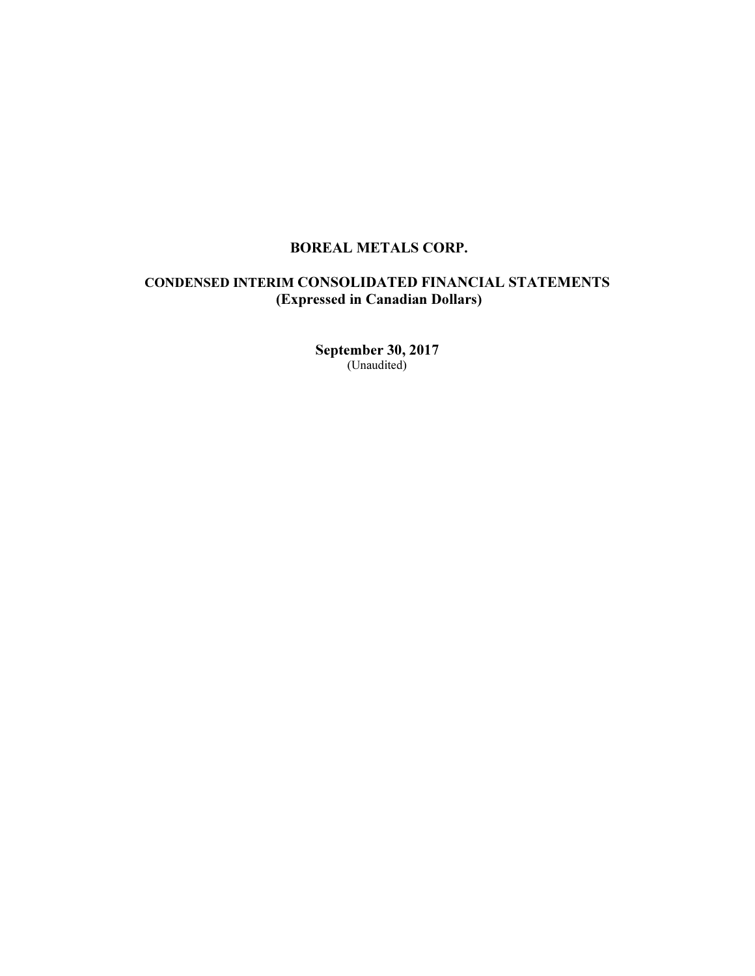# BOREAL METALS CORP.

# CONDENSED INTERIM CONSOLIDATED FINANCIAL STATEMENTS (Expressed in Canadian Dollars)

September 30, 2017 (Unaudited)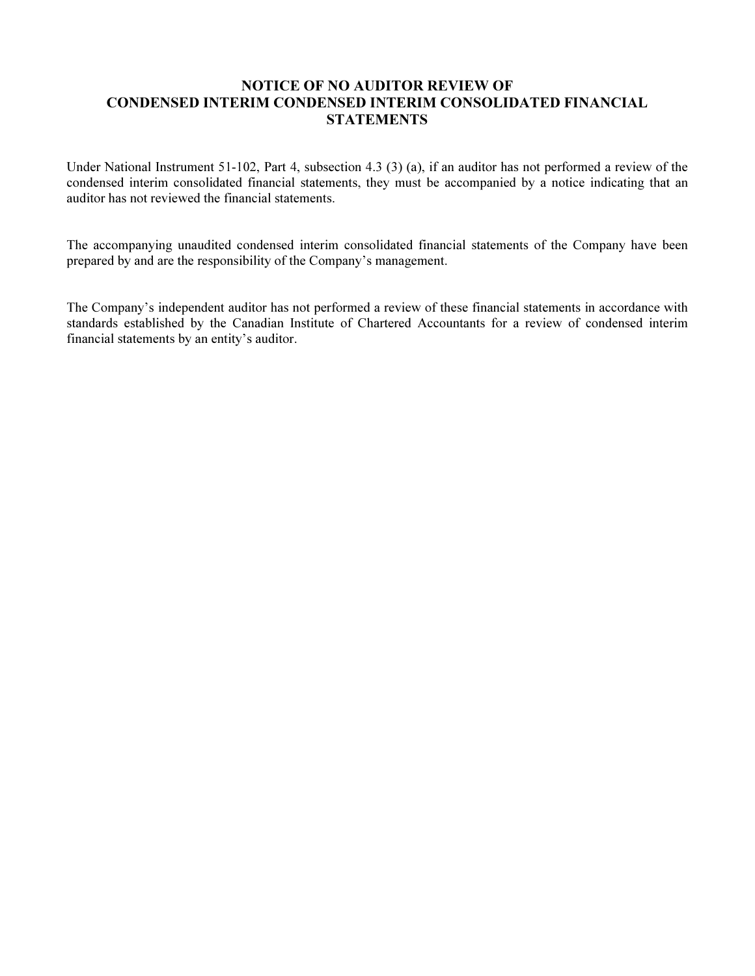# NOTICE OF NO AUDITOR REVIEW OF CONDENSED INTERIM CONDENSED INTERIM CONSOLIDATED FINANCIAL **STATEMENTS**

Under National Instrument 51-102, Part 4, subsection 4.3 (3) (a), if an auditor has not performed a review of the condensed interim consolidated financial statements, they must be accompanied by a notice indicating that an auditor has not reviewed the financial statements.

The accompanying unaudited condensed interim consolidated financial statements of the Company have been prepared by and are the responsibility of the Company's management.

The Company's independent auditor has not performed a review of these financial statements in accordance with standards established by the Canadian Institute of Chartered Accountants for a review of condensed interim financial statements by an entity's auditor.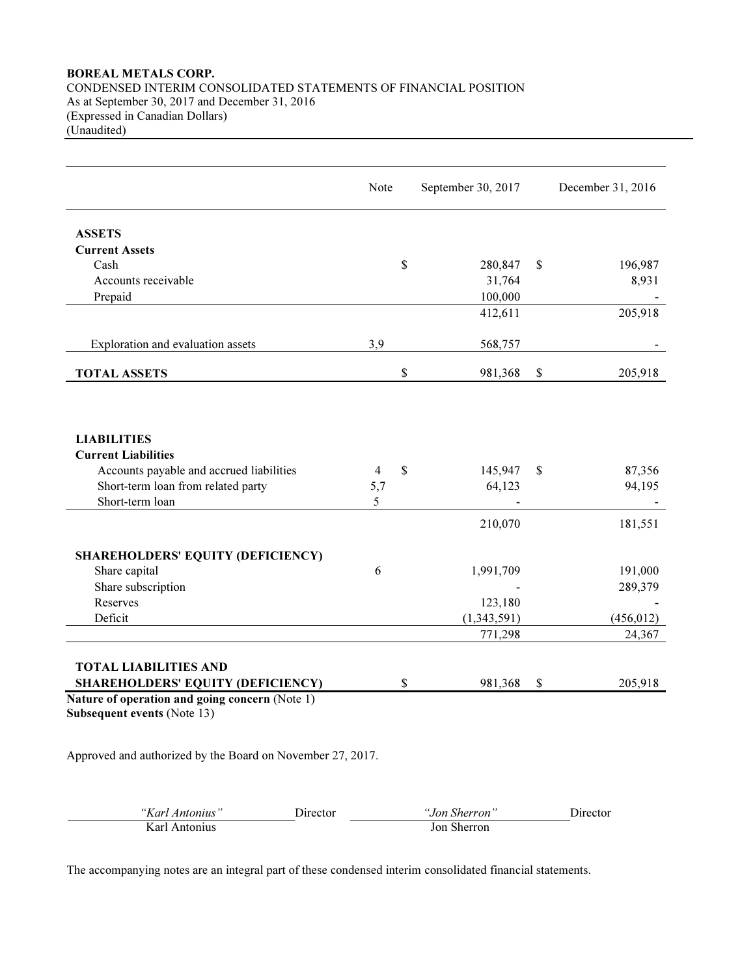# BOREAL METALS CORP. CONDENSED INTERIM CONSOLIDATED STATEMENTS OF FINANCIAL POSITION As at September 30, 2017 and December 31, 2016 (Expressed in Canadian Dollars) (Unaudited)

|                                                                                      | Note     | September 30, 2017      | December 31, 2016      |
|--------------------------------------------------------------------------------------|----------|-------------------------|------------------------|
| <b>ASSETS</b>                                                                        |          |                         |                        |
| <b>Current Assets</b>                                                                |          |                         |                        |
| Cash                                                                                 |          | \$<br>280,847           | \$<br>196,987          |
| Accounts receivable                                                                  |          | 31,764                  | 8,931                  |
| Prepaid                                                                              |          | 100,000                 |                        |
|                                                                                      |          | 412,611                 | 205,918                |
| Exploration and evaluation assets                                                    | 3,9      | 568,757                 |                        |
| <b>TOTAL ASSETS</b>                                                                  |          | \$<br>981,368           | \$<br>205,918          |
|                                                                                      |          |                         |                        |
| <b>LIABILITIES</b>                                                                   |          |                         |                        |
| <b>Current Liabilities</b>                                                           |          |                         |                        |
| Accounts payable and accrued liabilities<br>Short-term loan from related party       | 4<br>5,7 | \$<br>145,947<br>64,123 | \$<br>87,356<br>94,195 |
| Short-term loan                                                                      | 5        |                         |                        |
|                                                                                      |          |                         |                        |
|                                                                                      |          | 210,070                 | 181,551                |
| <b>SHAREHOLDERS' EQUITY (DEFICIENCY)</b>                                             |          |                         |                        |
| Share capital                                                                        | 6        | 1,991,709               | 191,000                |
| Share subscription                                                                   |          |                         | 289,379                |
| Reserves                                                                             |          | 123,180                 |                        |
| Deficit                                                                              |          | (1,343,591)             | (456, 012)             |
|                                                                                      |          | 771,298                 | 24,367                 |
| <b>TOTAL LIABILITIES AND</b>                                                         |          |                         |                        |
| <b>SHAREHOLDERS' EQUITY (DEFICIENCY)</b>                                             |          | \$<br>981,368           | \$<br>205,918          |
| Nature of operation and going concern (Note 1)<br><b>Subsequent events (Note 13)</b> |          |                         |                        |
| Approved and authorized by the Board on November 27, 2017.                           |          |                         |                        |
| Director<br>"Karl Antonius"                                                          |          | "Jon Sherron"           | Director               |

The accompanying notes are an integral part of these condensed interim consolidated financial statements.

Karl Antonius Jon Sherron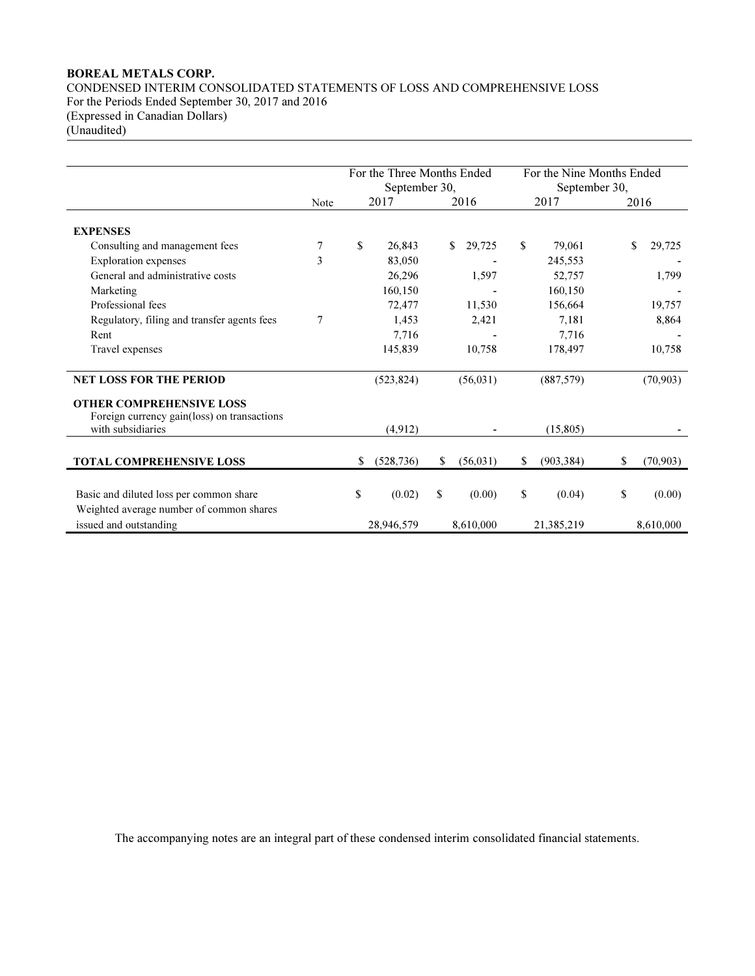# BOREAL METALS CORP. CONDENSED INTERIM CONSOLIDATED STATEMENTS OF LOSS AND COMPREHENSIVE LOSS For the Periods Ended September 30, 2017 and 2016 (Expressed in Canadian Dollars) (Unaudited)

|                                                                                     |      | For the Three Months Ended<br>September 30, |                 | For the Nine Months Ended<br>September 30, |                 |
|-------------------------------------------------------------------------------------|------|---------------------------------------------|-----------------|--------------------------------------------|-----------------|
|                                                                                     | Note | 2017                                        | 2016            | 2017                                       | 2016            |
| <b>EXPENSES</b>                                                                     |      |                                             |                 |                                            |                 |
| Consulting and management fees                                                      | 7    | \$<br>26,843                                | 29,725<br>S.    | \$<br>79,061                               | \$<br>29,725    |
| <b>Exploration</b> expenses                                                         | 3    | 83,050                                      |                 | 245,553                                    |                 |
| General and administrative costs                                                    |      | 26,296                                      | 1,597           | 52,757                                     | 1,799           |
| Marketing                                                                           |      | 160,150                                     |                 | 160,150                                    |                 |
| Professional fees                                                                   |      | 72,477                                      | 11,530          | 156,664                                    | 19,757          |
| Regulatory, filing and transfer agents fees                                         | 7    | 1,453                                       | 2,421           | 7.181                                      | 8,864           |
| Rent                                                                                |      | 7.716                                       |                 | 7.716                                      |                 |
| Travel expenses                                                                     |      | 145,839                                     | 10,758          | 178,497                                    | 10,758          |
| <b>NET LOSS FOR THE PERIOD</b>                                                      |      | (523, 824)                                  | (56, 031)       | (887, 579)                                 | (70, 903)       |
| <b>OTHER COMPREHENSIVE LOSS</b>                                                     |      |                                             |                 |                                            |                 |
| Foreign currency gain(loss) on transactions<br>with subsidiaries                    |      | (4.912)                                     |                 | (15,805)                                   |                 |
|                                                                                     |      |                                             |                 |                                            |                 |
| TOTAL COMPREHENSIVE LOSS                                                            |      | \$<br>(528, 736)                            | \$<br>(56, 031) | \$<br>(903, 384)                           | \$<br>(70, 903) |
| Basic and diluted loss per common share<br>Weighted average number of common shares |      | \$<br>(0.02)                                | \$<br>(0.00)    | \$<br>(0.04)                               | \$<br>(0.00)    |
| issued and outstanding                                                              |      | 28.946.579                                  | 8,610,000       | 21,385,219                                 | 8.610.000       |

The accompanying notes are an integral part of these condensed interim consolidated financial statements.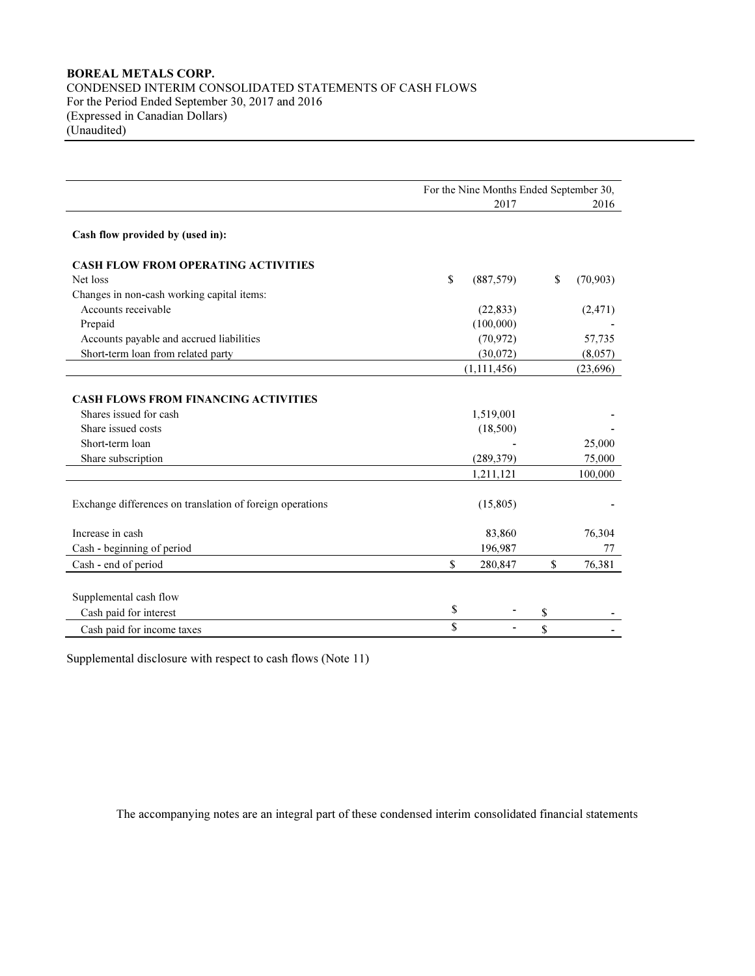# BOREAL METALS CORP. CONDENSED INTERIM CONSOLIDATED STATEMENTS OF CASH FLOWS For the Period Ended September 30, 2017 and 2016 (Expressed in Canadian Dollars) (Unaudited)

|                                                                                                                | For the Nine Months Ended September 30, |                       |    |                   |  |  |  |
|----------------------------------------------------------------------------------------------------------------|-----------------------------------------|-----------------------|----|-------------------|--|--|--|
|                                                                                                                |                                         | 2017                  |    | 2016              |  |  |  |
| Cash flow provided by (used in):                                                                               |                                         |                       |    |                   |  |  |  |
| <b>CASH FLOW FROM OPERATING ACTIVITIES</b>                                                                     |                                         |                       |    |                   |  |  |  |
| Net loss                                                                                                       | \$                                      | (887, 579)            | \$ | (70, 903)         |  |  |  |
| Changes in non-cash working capital items:                                                                     |                                         |                       |    |                   |  |  |  |
| Accounts receivable                                                                                            |                                         | (22, 833)             |    | (2, 471)          |  |  |  |
| Prepaid                                                                                                        |                                         | (100,000)             |    |                   |  |  |  |
| Accounts payable and accrued liabilities                                                                       |                                         | (70, 972)             |    | 57,735            |  |  |  |
| Short-term loan from related party                                                                             |                                         | (30,072)              |    | (8,057)           |  |  |  |
|                                                                                                                |                                         | (1, 111, 456)         |    | (23,696)          |  |  |  |
| <b>CASH FLOWS FROM FINANCING ACTIVITIES</b><br>Shares issued for cash<br>Share issued costs<br>Short-term loan |                                         | 1,519,001<br>(18,500) |    | 25,000            |  |  |  |
| Share subscription                                                                                             |                                         | (289, 379)            |    | 75,000<br>100,000 |  |  |  |
| Exchange differences on translation of foreign operations                                                      |                                         | 1,211,121<br>(15,805) |    |                   |  |  |  |
| Increase in cash                                                                                               |                                         | 83,860                |    | 76,304            |  |  |  |
| Cash - beginning of period                                                                                     |                                         | 196,987               |    | 77                |  |  |  |
| Cash - end of period                                                                                           | \$                                      | 280,847               | \$ | 76,381            |  |  |  |
| Supplemental cash flow<br>Cash paid for interest                                                               | \$<br>\$                                |                       | \$ |                   |  |  |  |
| Cash paid for income taxes                                                                                     |                                         |                       | \$ |                   |  |  |  |

Supplemental disclosure with respect to cash flows (Note 11)

The accompanying notes are an integral part of these condensed interim consolidated financial statements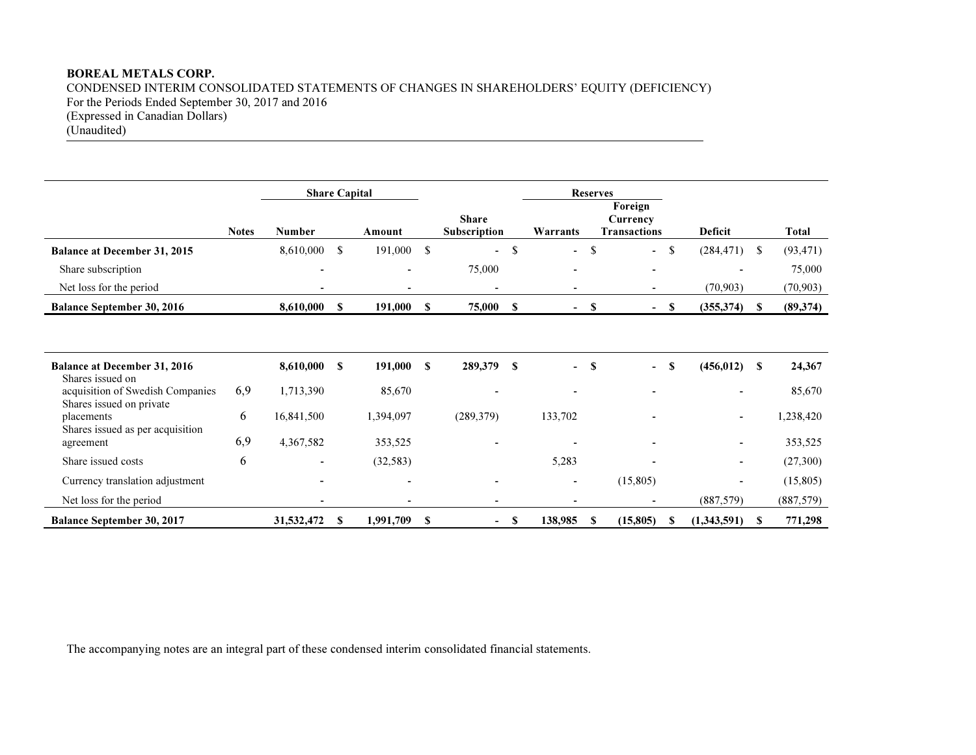# BOREAL METALS CORP.

CONDENSED INTERIM CONSOLIDATED STATEMENTS OF CHANGES IN SHAREHOLDERS' EQUITY (DEFICIENCY)<br>For the Periods Ended Sentember 30, 2017 and 2016 For the Periods Ended September 30, 2017 and 2016 (Expressed in Canadian Dollars) (Unaudited)

|                                                              |              | <b>Share Capital</b>     |               |           |      |                              |      |                          |    | <b>Reserves</b>                            |     |                          |               |            |
|--------------------------------------------------------------|--------------|--------------------------|---------------|-----------|------|------------------------------|------|--------------------------|----|--------------------------------------------|-----|--------------------------|---------------|------------|
|                                                              | <b>Notes</b> | <b>Number</b>            |               | Amount    |      | <b>Share</b><br>Subscription |      | Warrants                 |    | Foreign<br>Currency<br><b>Transactions</b> |     | <b>Deficit</b>           |               | Total      |
| <b>Balance at December 31, 2015</b>                          |              | 8,610,000                | <sup>\$</sup> | 191,000   | -\$  | $\blacksquare$               | \$   | ۰                        | \$ | $\blacksquare$                             | \$  | (284, 471)               | <sup>\$</sup> | (93, 471)  |
| Share subscription                                           |              |                          |               |           |      | 75,000                       |      |                          |    |                                            |     |                          |               | 75,000     |
| Net loss for the period                                      |              |                          |               |           |      | ۰                            |      |                          |    |                                            |     | (70, 903)                |               | (70, 903)  |
| <b>Balance September 30, 2016</b>                            |              | 8,610,000                | \$            | 191,000   | -S   | 75,000                       | - \$ | $\blacksquare$           | S  | $\blacksquare$                             | -SS | (355,374)                | <b>S</b>      | (89, 374)  |
|                                                              |              |                          |               |           |      |                              |      |                          |    |                                            |     |                          |               |            |
| <b>Balance at December 31, 2016</b><br>Shares issued on      |              | 8,610,000                | S             | 191,000   | S    | 289,379                      | S    |                          | S  |                                            | S   | (456, 012)               | S             | 24,367     |
| acquisition of Swedish Companies<br>Shares issued on private | 6,9          | 1,713,390                |               | 85,670    |      |                              |      |                          |    |                                            |     | $\overline{\phantom{0}}$ |               | 85,670     |
| placements<br>Shares issued as per acquisition               | 6            | 16,841,500               |               | 1,394,097 |      | (289, 379)                   |      | 133,702                  |    |                                            |     | $\overline{\phantom{a}}$ |               | 1,238,420  |
| agreement                                                    | 6,9          | 4,367,582                |               | 353,525   |      |                              |      |                          |    |                                            |     |                          |               | 353,525    |
| Share issued costs                                           | 6            | $\blacksquare$           |               | (32, 583) |      |                              |      | 5,283                    |    |                                            |     | ٠                        |               | (27,300)   |
| Currency translation adjustment                              |              | $\overline{\phantom{0}}$ |               |           |      |                              |      | $\overline{\phantom{0}}$ |    | (15,805)                                   |     | $\overline{\phantom{0}}$ |               | (15,805)   |
| Net loss for the period                                      |              |                          |               |           |      |                              |      |                          |    |                                            |     | (887, 579)               |               | (887, 579) |
| <b>Balance September 30, 2017</b>                            |              | 31,532,472               | S             | 1,991,709 | - \$ | $\sim$                       | - \$ | 138,985                  | S  | (15, 805)                                  |     | (1,343,591)              | S             | 771,298    |

The accompanying notes are an integral part of these condensed interim consolidated financial statements.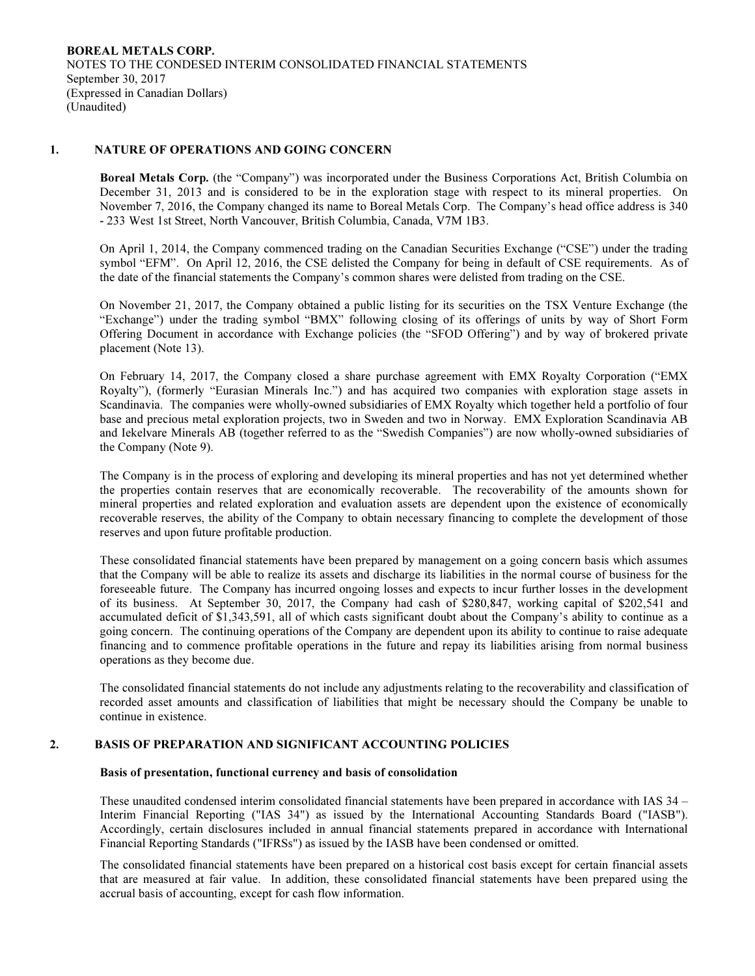## 1. NATURE OF OPERATIONS AND GOING CONCERN

Boreal Metals Corp. (the "Company") was incorporated under the Business Corporations Act, British Columbia on December 31, 2013 and is considered to be in the exploration stage with respect to its mineral properties. On November 7, 2016, the Company changed its name to Boreal Metals Corp. The Company's head office address is 340 - 233 West 1st Street, North Vancouver, British Columbia, Canada, V7M 1B3.

On April 1, 2014, the Company commenced trading on the Canadian Securities Exchange ("CSE") under the trading symbol "EFM". On April 12, 2016, the CSE delisted the Company for being in default of CSE requirements. As of the date of the financial statements the Company's common shares were delisted from trading on the CSE.

On November 21, 2017, the Company obtained a public listing for its securities on the TSX Venture Exchange (the "Exchange") under the trading symbol "BMX" following closing of its offerings of units by way of Short Form Offering Document in accordance with Exchange policies (the "SFOD Offering") and by way of brokered private placement (Note 13).

On February 14, 2017, the Company closed a share purchase agreement with EMX Royalty Corporation ("EMX Royalty"), (formerly "Eurasian Minerals Inc.") and has acquired two companies with exploration stage assets in Scandinavia. The companies were wholly-owned subsidiaries of EMX Royalty which together held a portfolio of four base and precious metal exploration projects, two in Sweden and two in Norway. EMX Exploration Scandinavia AB and Iekelvare Minerals AB (together referred to as the "Swedish Companies") are now wholly-owned subsidiaries of the Company (Note 9).

The Company is in the process of exploring and developing its mineral properties and has not yet determined whether the properties contain reserves that are economically recoverable. The recoverability of the amounts shown for mineral properties and related exploration and evaluation assets are dependent upon the existence of economically recoverable reserves, the ability of the Company to obtain necessary financing to complete the development of those reserves and upon future profitable production.

These consolidated financial statements have been prepared by management on a going concern basis which assumes that the Company will be able to realize its assets and discharge its liabilities in the normal course of business for the foreseeable future. The Company has incurred ongoing losses and expects to incur further losses in the development of its business. At September 30, 2017, the Company had cash of \$280,847, working capital of \$202,541 and accumulated deficit of \$1,343,591, all of which casts significant doubt about the Company's ability to continue as a going concern. The continuing operations of the Company are dependent upon its ability to continue to raise adequate financing and to commence profitable operations in the future and repay its liabilities arising from normal business operations as they become due.

The consolidated financial statements do not include any adjustments relating to the recoverability and classification of recorded asset amounts and classification of liabilities that might be necessary should the Company be unable to continue in existence.

# 2. BASIS OF PREPARATION AND SIGNIFICANT ACCOUNTING POLICIES

## Basis of presentation, functional currency and basis of consolidation

These unaudited condensed interim consolidated financial statements have been prepared in accordance with IAS 34 – Interim Financial Reporting ("IAS 34") as issued by the International Accounting Standards Board ("IASB"). Accordingly, certain disclosures included in annual financial statements prepared in accordance with International Financial Reporting Standards ("IFRSs") as issued by the IASB have been condensed or omitted.

The consolidated financial statements have been prepared on a historical cost basis except for certain financial assets that are measured at fair value. In addition, these consolidated financial statements have been prepared using the accrual basis of accounting, except for cash flow information.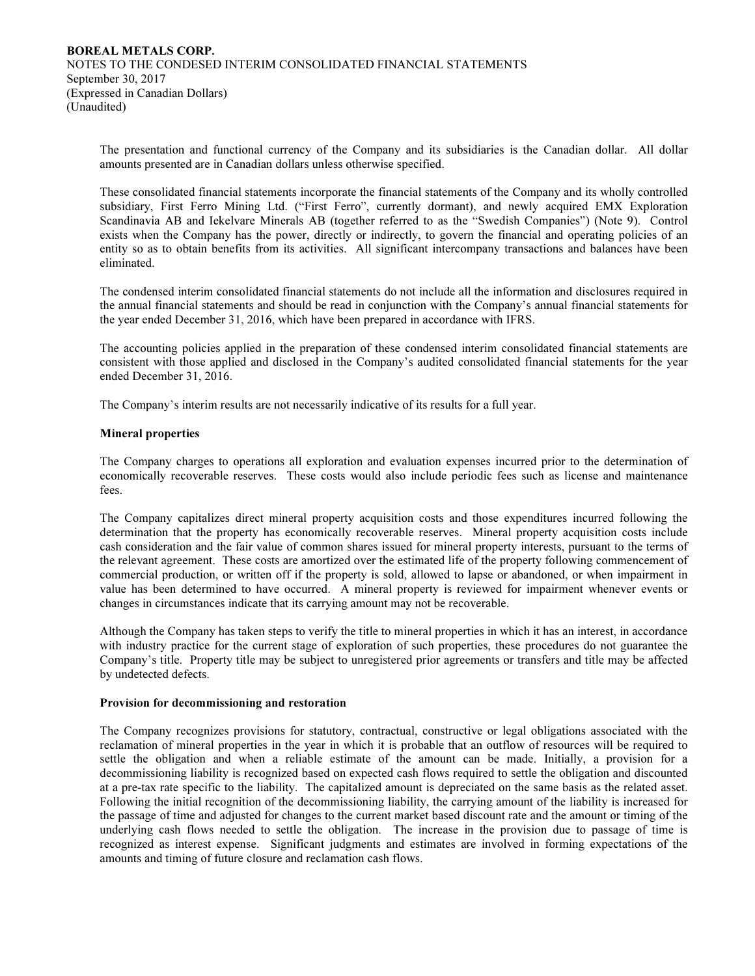The presentation and functional currency of the Company and its subsidiaries is the Canadian dollar. All dollar amounts presented are in Canadian dollars unless otherwise specified.

These consolidated financial statements incorporate the financial statements of the Company and its wholly controlled subsidiary, First Ferro Mining Ltd. ("First Ferro", currently dormant), and newly acquired EMX Exploration Scandinavia AB and Iekelvare Minerals AB (together referred to as the "Swedish Companies") (Note 9). Control exists when the Company has the power, directly or indirectly, to govern the financial and operating policies of an entity so as to obtain benefits from its activities. All significant intercompany transactions and balances have been eliminated.

The condensed interim consolidated financial statements do not include all the information and disclosures required in the annual financial statements and should be read in conjunction with the Company's annual financial statements for the year ended December 31, 2016, which have been prepared in accordance with IFRS.

The accounting policies applied in the preparation of these condensed interim consolidated financial statements are consistent with those applied and disclosed in the Company's audited consolidated financial statements for the year ended December 31, 2016.

The Company's interim results are not necessarily indicative of its results for a full year.

## Mineral properties

 The Company charges to operations all exploration and evaluation expenses incurred prior to the determination of economically recoverable reserves. These costs would also include periodic fees such as license and maintenance fees.

 The Company capitalizes direct mineral property acquisition costs and those expenditures incurred following the determination that the property has economically recoverable reserves. Mineral property acquisition costs include cash consideration and the fair value of common shares issued for mineral property interests, pursuant to the terms of the relevant agreement. These costs are amortized over the estimated life of the property following commencement of commercial production, or written off if the property is sold, allowed to lapse or abandoned, or when impairment in value has been determined to have occurred. A mineral property is reviewed for impairment whenever events or changes in circumstances indicate that its carrying amount may not be recoverable.

 Although the Company has taken steps to verify the title to mineral properties in which it has an interest, in accordance with industry practice for the current stage of exploration of such properties, these procedures do not guarantee the Company's title. Property title may be subject to unregistered prior agreements or transfers and title may be affected by undetected defects.

### Provision for decommissioning and restoration

 The Company recognizes provisions for statutory, contractual, constructive or legal obligations associated with the reclamation of mineral properties in the year in which it is probable that an outflow of resources will be required to settle the obligation and when a reliable estimate of the amount can be made. Initially, a provision for a decommissioning liability is recognized based on expected cash flows required to settle the obligation and discounted at a pre-tax rate specific to the liability. The capitalized amount is depreciated on the same basis as the related asset. Following the initial recognition of the decommissioning liability, the carrying amount of the liability is increased for the passage of time and adjusted for changes to the current market based discount rate and the amount or timing of the underlying cash flows needed to settle the obligation. The increase in the provision due to passage of time is recognized as interest expense. Significant judgments and estimates are involved in forming expectations of the amounts and timing of future closure and reclamation cash flows.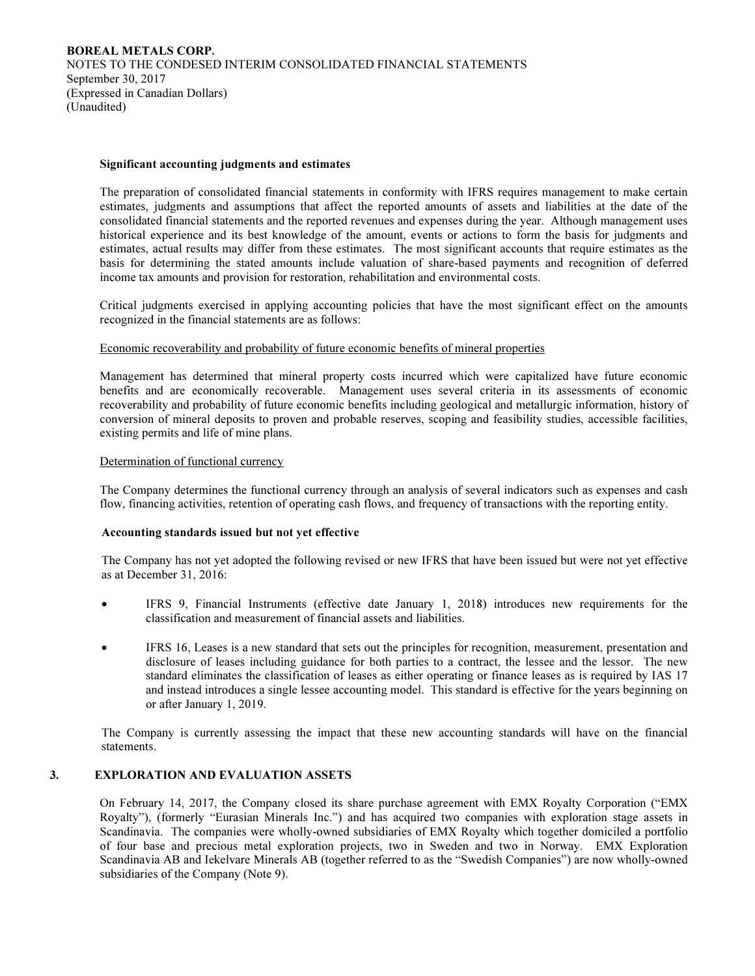### Significant accounting judgments and estimates

 The preparation of consolidated financial statements in conformity with IFRS requires management to make certain estimates, judgments and assumptions that affect the reported amounts of assets and liabilities at the date of the consolidated financial statements and the reported revenues and expenses during the year. Although management uses historical experience and its best knowledge of the amount, events or actions to form the basis for judgments and estimates, actual results may differ from these estimates. The most significant accounts that require estimates as the basis for determining the stated amounts include valuation of share-based payments and recognition of deferred income tax amounts and provision for restoration, rehabilitation and environmental costs.

Critical judgments exercised in applying accounting policies that have the most significant effect on the amounts recognized in the financial statements are as follows:

### Economic recoverability and probability of future economic benefits of mineral properties

Management has determined that mineral property costs incurred which were capitalized have future economic benefits and are economically recoverable. Management uses several criteria in its assessments of economic recoverability and probability of future economic benefits including geological and metallurgic information, history of conversion of mineral deposits to proven and probable reserves, scoping and feasibility studies, accessible facilities, existing permits and life of mine plans.

### Determination of functional currency

The Company determines the functional currency through an analysis of several indicators such as expenses and cash flow, financing activities, retention of operating cash flows, and frequency of transactions with the reporting entity.

### Accounting standards issued but not yet effective

The Company has not yet adopted the following revised or new IFRS that have been issued but were not yet effective as at December 31, 2016:

- IFRS 9, Financial Instruments (effective date January 1, 2018) introduces new requirements for the classification and measurement of financial assets and liabilities.
- IFRS 16, Leases is a new standard that sets out the principles for recognition, measurement, presentation and disclosure of leases including guidance for both parties to a contract, the lessee and the lessor. The new standard eliminates the classification of leases as either operating or finance leases as is required by IAS 17 and instead introduces a single lessee accounting model. This standard is effective for the years beginning on or after January 1, 2019.

The Company is currently assessing the impact that these new accounting standards will have on the financial statements.

# 3. EXPLORATION AND EVALUATION ASSETS

On February 14, 2017, the Company closed its share purchase agreement with EMX Royalty Corporation ("EMX Royalty"), (formerly "Eurasian Minerals Inc.") and has acquired two companies with exploration stage assets in Scandinavia. The companies were wholly-owned subsidiaries of EMX Royalty which together domiciled a portfolio of four base and precious metal exploration projects, two in Sweden and two in Norway. EMX Exploration Scandinavia AB and Iekelvare Minerals AB (together referred to as the "Swedish Companies") are now wholly-owned subsidiaries of the Company (Note 9).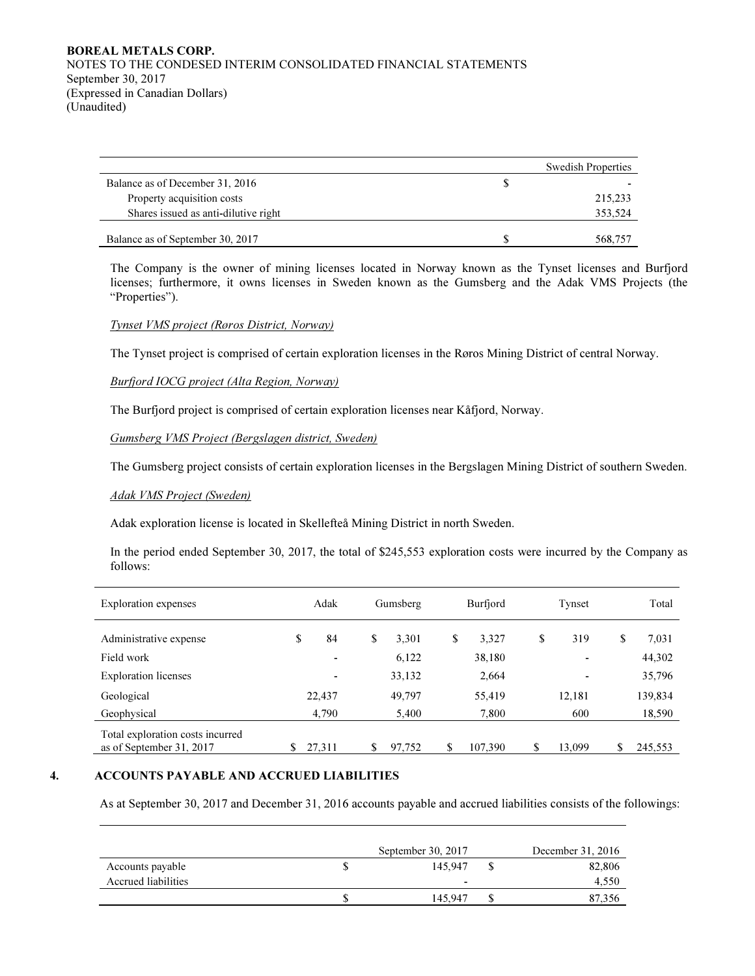# BOREAL METALS CORP. NOTES TO THE CONDESED INTERIM CONSOLIDATED FINANCIAL STATEMENTS September 30, 2017 (Expressed in Canadian Dollars) (Unaudited)

|                                      |   | <b>Swedish Properties</b> |
|--------------------------------------|---|---------------------------|
| Balance as of December 31, 2016      | S |                           |
| Property acquisition costs           |   | 215,233                   |
| Shares issued as anti-dilutive right |   | 353.524                   |
|                                      |   |                           |
| Balance as of September 30, 2017     |   | 568.757                   |

The Company is the owner of mining licenses located in Norway known as the Tynset licenses and Burfjord licenses; furthermore, it owns licenses in Sweden known as the Gumsberg and the Adak VMS Projects (the "Properties").

# Tynset VMS project (Røros District, Norway)

The Tynset project is comprised of certain exploration licenses in the Røros Mining District of central Norway.

## Burfjord IOCG project (Alta Region, Norway)

The Burfjord project is comprised of certain exploration licenses near Kåfjord, Norway.

### Gumsberg VMS Project (Bergslagen district, Sweden)

The Gumsberg project consists of certain exploration licenses in the Bergslagen Mining District of southern Sweden.

### Adak VMS Project (Sweden)

Adak exploration license is located in Skellefteå Mining District in north Sweden.

In the period ended September 30, 2017, the total of \$245,553 exploration costs were incurred by the Company as follows:

| <b>Exploration</b> expenses                                  | Adak   |                          | Gumsberg     | Burfjord    | Tynset       | Total         |
|--------------------------------------------------------------|--------|--------------------------|--------------|-------------|--------------|---------------|
| Administrative expense                                       | \$     | 84                       | \$<br>3,301  | \$<br>3,327 | \$<br>319    | \$<br>7,031   |
| Field work                                                   |        | $\overline{\phantom{0}}$ | 6,122        | 38,180      |              | 44,302        |
| <b>Exploration</b> licenses                                  |        | ٠                        | 33,132       | 2,664       | ٠            | 35,796        |
| Geological                                                   | 22.437 |                          | 49,797       | 55,419      | 12.181       | 139,834       |
| Geophysical                                                  | 4,790  |                          | 5,400        | 7,800       | 600          | 18,590        |
| Total exploration costs incurred<br>as of September 31, 2017 | 27,311 |                          | \$<br>97,752 | 107,390     | \$<br>13,099 | \$<br>245,553 |

# 4. ACCOUNTS PAYABLE AND ACCRUED LIABILITIES

As at September 30, 2017 and December 31, 2016 accounts payable and accrued liabilities consists of the followings:

|                     | September 30, 2017 | December 31, 2016 |
|---------------------|--------------------|-------------------|
| Accounts payable    | 145,947            | 82,806            |
| Accrued liabilities | -                  | 4,550             |
|                     | 145.947            | 87,356            |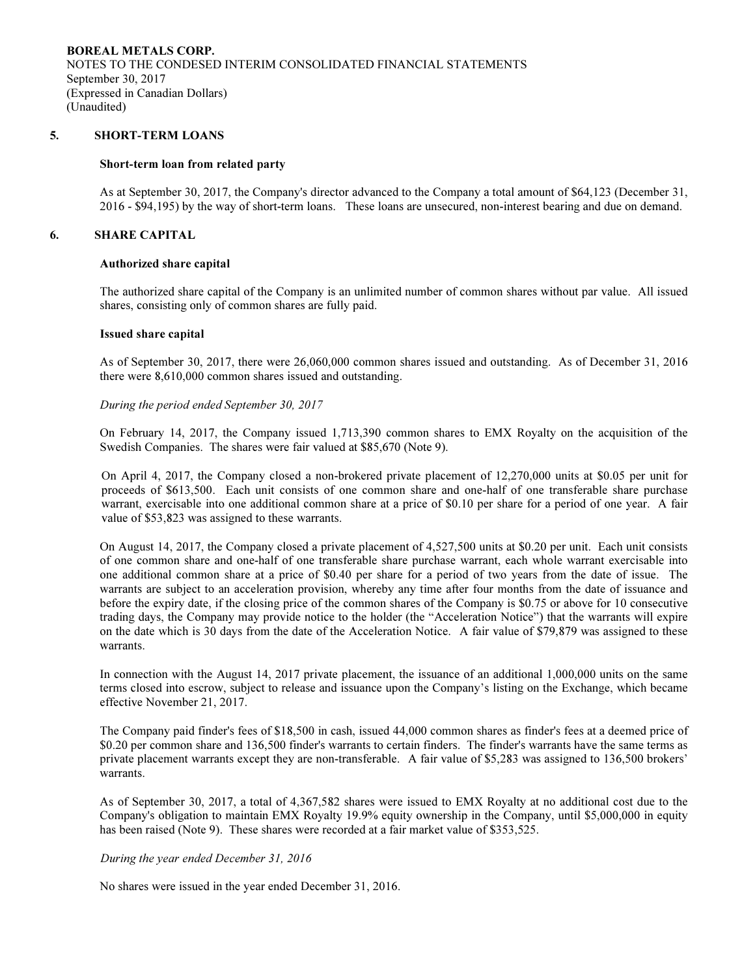## 5. SHORT-TERM LOANS

#### Short-term loan from related party

As at September 30, 2017, the Company's director advanced to the Company a total amount of \$64,123 (December 31, 2016 - \$94,195) by the way of short-term loans. These loans are unsecured, non-interest bearing and due on demand.

### 6. SHARE CAPITAL

#### Authorized share capital

The authorized share capital of the Company is an unlimited number of common shares without par value. All issued shares, consisting only of common shares are fully paid.

#### Issued share capital

As of September 30, 2017, there were 26,060,000 common shares issued and outstanding. As of December 31, 2016 there were 8,610,000 common shares issued and outstanding.

#### During the period ended September 30, 2017

On February 14, 2017, the Company issued 1,713,390 common shares to EMX Royalty on the acquisition of the Swedish Companies. The shares were fair valued at \$85,670 (Note 9).

On April 4, 2017, the Company closed a non-brokered private placement of 12,270,000 units at \$0.05 per unit for proceeds of \$613,500. Each unit consists of one common share and one-half of one transferable share purchase warrant, exercisable into one additional common share at a price of \$0.10 per share for a period of one year. A fair value of \$53,823 was assigned to these warrants.

On August 14, 2017, the Company closed a private placement of 4,527,500 units at \$0.20 per unit. Each unit consists of one common share and one-half of one transferable share purchase warrant, each whole warrant exercisable into one additional common share at a price of \$0.40 per share for a period of two years from the date of issue. The warrants are subject to an acceleration provision, whereby any time after four months from the date of issuance and before the expiry date, if the closing price of the common shares of the Company is \$0.75 or above for 10 consecutive trading days, the Company may provide notice to the holder (the "Acceleration Notice") that the warrants will expire on the date which is 30 days from the date of the Acceleration Notice. A fair value of \$79,879 was assigned to these warrants.

In connection with the August 14, 2017 private placement, the issuance of an additional 1,000,000 units on the same terms closed into escrow, subject to release and issuance upon the Company's listing on the Exchange, which became effective November 21, 2017.

The Company paid finder's fees of \$18,500 in cash, issued 44,000 common shares as finder's fees at a deemed price of \$0.20 per common share and 136,500 finder's warrants to certain finders. The finder's warrants have the same terms as private placement warrants except they are non-transferable. A fair value of \$5,283 was assigned to 136,500 brokers' warrants.

As of September 30, 2017, a total of 4,367,582 shares were issued to EMX Royalty at no additional cost due to the Company's obligation to maintain EMX Royalty 19.9% equity ownership in the Company, until \$5,000,000 in equity has been raised (Note 9). These shares were recorded at a fair market value of \$353,525.

#### During the year ended December 31, 2016

No shares were issued in the year ended December 31, 2016.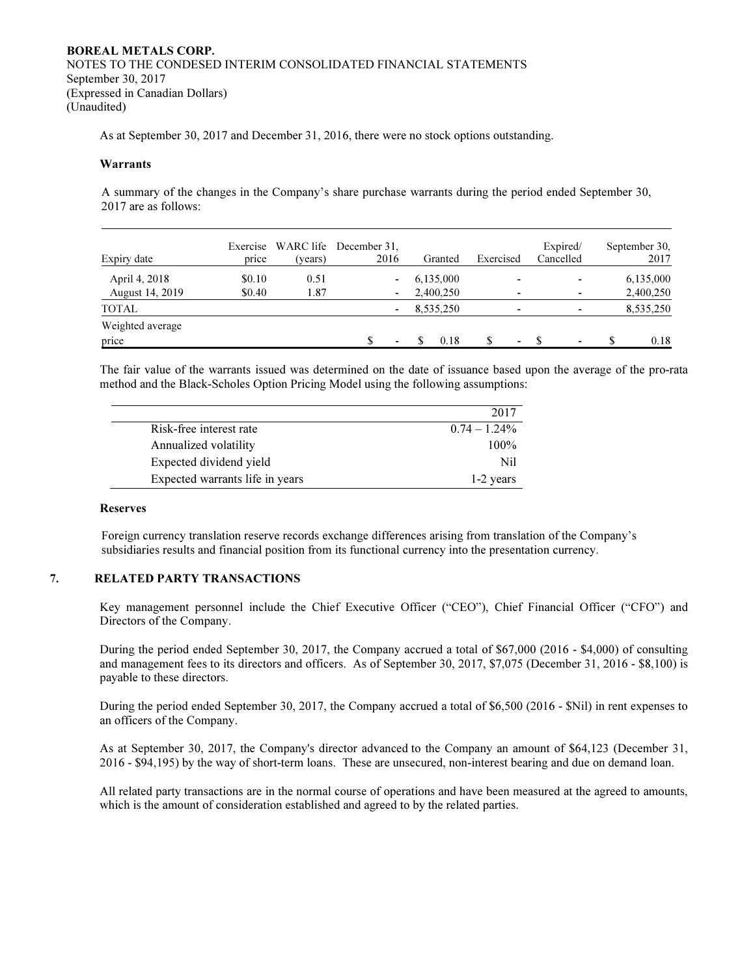# BOREAL METALS CORP. NOTES TO THE CONDESED INTERIM CONSOLIDATED FINANCIAL STATEMENTS September 30, 2017 (Expressed in Canadian Dollars) (Unaudited)

As at September 30, 2017 and December 31, 2016, there were no stock options outstanding.

### Warrants

A summary of the changes in the Company's share purchase warrants during the period ended September 30, 2017 are as follows:

| Expiry date            | Exercise<br>price | (years) | WARC life December 31.<br>2016 | Granted   | Exercised | Expired/<br>Cancelled | September 30,<br>2017 |
|------------------------|-------------------|---------|--------------------------------|-----------|-----------|-----------------------|-----------------------|
| April 4, 2018          | \$0.10            | 0.51    | $\overline{\phantom{a}}$       | 6,135,000 | -         | ٠                     | 6,135,000             |
| <b>August 14, 2019</b> | \$0.40            | 1.87    | ٠                              | 2,400,250 | ۰         | ٠                     | 2,400,250             |
| <b>TOTAL</b>           |                   |         | $\overline{\phantom{a}}$       | 8,535,250 | ٠         | ٠                     | 8,535,250             |
| Weighted average       |                   |         |                                |           |           |                       |                       |
| price                  |                   |         | $\blacksquare$                 | 0.18      | ٠         | ۰                     | 0.18                  |

The fair value of the warrants issued was determined on the date of issuance based upon the average of the pro-rata method and the Black-Scholes Option Pricing Model using the following assumptions:

|                                 | 2017            |
|---------------------------------|-----------------|
| Risk-free interest rate         | $0.74 - 1.24\%$ |
| Annualized volatility           | $100\%$         |
| Expected dividend yield         | Nil             |
| Expected warrants life in years | 1-2 years       |

#### Reserves

Foreign currency translation reserve records exchange differences arising from translation of the Company's subsidiaries results and financial position from its functional currency into the presentation currency.

### 7. RELATED PARTY TRANSACTIONS

Key management personnel include the Chief Executive Officer ("CEO"), Chief Financial Officer ("CFO") and Directors of the Company.

During the period ended September 30, 2017, the Company accrued a total of \$67,000 (2016 - \$4,000) of consulting and management fees to its directors and officers. As of September 30, 2017, \$7,075 (December 31, 2016 - \$8,100) is payable to these directors.

During the period ended September 30, 2017, the Company accrued a total of \$6,500 (2016 - \$Nil) in rent expenses to an officers of the Company.

As at September 30, 2017, the Company's director advanced to the Company an amount of \$64,123 (December 31, 2016 - \$94,195) by the way of short-term loans. These are unsecured, non-interest bearing and due on demand loan.

All related party transactions are in the normal course of operations and have been measured at the agreed to amounts, which is the amount of consideration established and agreed to by the related parties.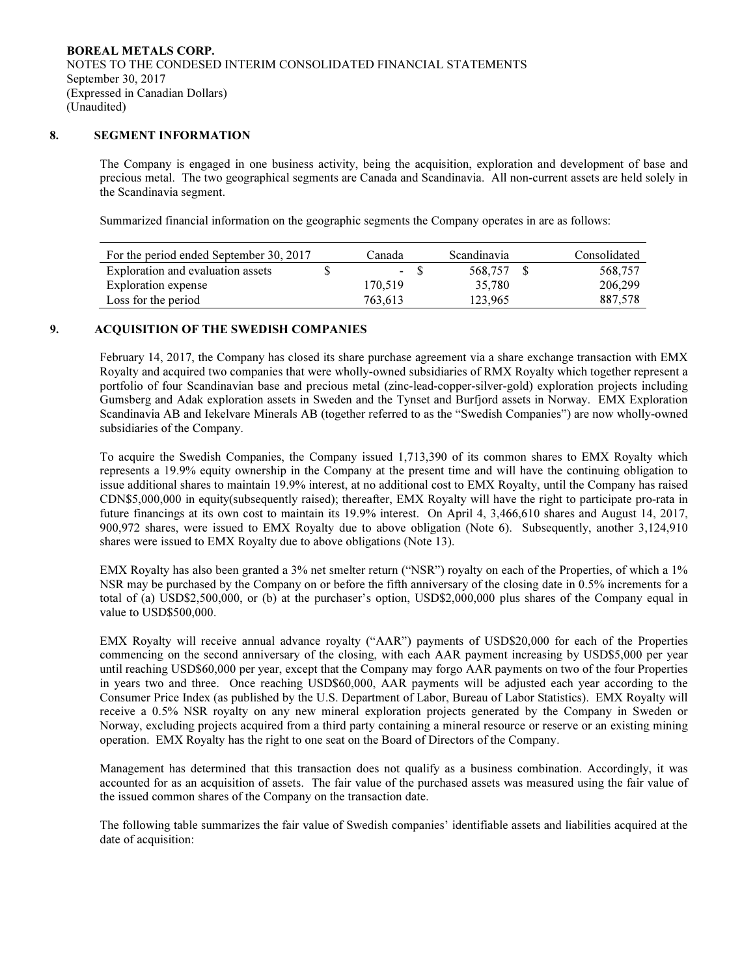## 8. SEGMENT INFORMATION

The Company is engaged in one business activity, being the acquisition, exploration and development of base and precious metal. The two geographical segments are Canada and Scandinavia. All non-current assets are held solely in the Scandinavia segment.

Summarized financial information on the geographic segments the Company operates in are as follows:

| For the period ended September 30, 2017 | Canada  | Scandinavia | Consolidated |
|-----------------------------------------|---------|-------------|--------------|
| Exploration and evaluation assets       | $-$ S   | 568.757     | 568.757      |
| Exploration expense                     | 170.519 | 35.780      | 206,299      |
| Loss for the period                     | 763.613 | 123.965     | 887,578      |

## 9. ACQUISITION OF THE SWEDISH COMPANIES

February 14, 2017, the Company has closed its share purchase agreement via a share exchange transaction with EMX Royalty and acquired two companies that were wholly-owned subsidiaries of RMX Royalty which together represent a portfolio of four Scandinavian base and precious metal (zinc-lead-copper-silver-gold) exploration projects including Gumsberg and Adak exploration assets in Sweden and the Tynset and Burfjord assets in Norway. EMX Exploration Scandinavia AB and Iekelvare Minerals AB (together referred to as the "Swedish Companies") are now wholly-owned subsidiaries of the Company.

To acquire the Swedish Companies, the Company issued 1,713,390 of its common shares to EMX Royalty which represents a 19.9% equity ownership in the Company at the present time and will have the continuing obligation to issue additional shares to maintain 19.9% interest, at no additional cost to EMX Royalty, until the Company has raised CDN\$5,000,000 in equity(subsequently raised); thereafter, EMX Royalty will have the right to participate pro-rata in future financings at its own cost to maintain its 19.9% interest. On April 4, 3,466,610 shares and August 14, 2017, 900,972 shares, were issued to EMX Royalty due to above obligation (Note 6). Subsequently, another 3,124,910 shares were issued to EMX Royalty due to above obligations (Note 13).

EMX Royalty has also been granted a 3% net smelter return ("NSR") royalty on each of the Properties, of which a 1% NSR may be purchased by the Company on or before the fifth anniversary of the closing date in 0.5% increments for a total of (a) USD\$2,500,000, or (b) at the purchaser's option, USD\$2,000,000 plus shares of the Company equal in value to USD\$500,000.

EMX Royalty will receive annual advance royalty ("AAR") payments of USD\$20,000 for each of the Properties commencing on the second anniversary of the closing, with each AAR payment increasing by USD\$5,000 per year until reaching USD\$60,000 per year, except that the Company may forgo AAR payments on two of the four Properties in years two and three. Once reaching USD\$60,000, AAR payments will be adjusted each year according to the Consumer Price Index (as published by the U.S. Department of Labor, Bureau of Labor Statistics). EMX Royalty will receive a 0.5% NSR royalty on any new mineral exploration projects generated by the Company in Sweden or Norway, excluding projects acquired from a third party containing a mineral resource or reserve or an existing mining operation. EMX Royalty has the right to one seat on the Board of Directors of the Company.

Management has determined that this transaction does not qualify as a business combination. Accordingly, it was accounted for as an acquisition of assets. The fair value of the purchased assets was measured using the fair value of the issued common shares of the Company on the transaction date.

The following table summarizes the fair value of Swedish companies' identifiable assets and liabilities acquired at the date of acquisition: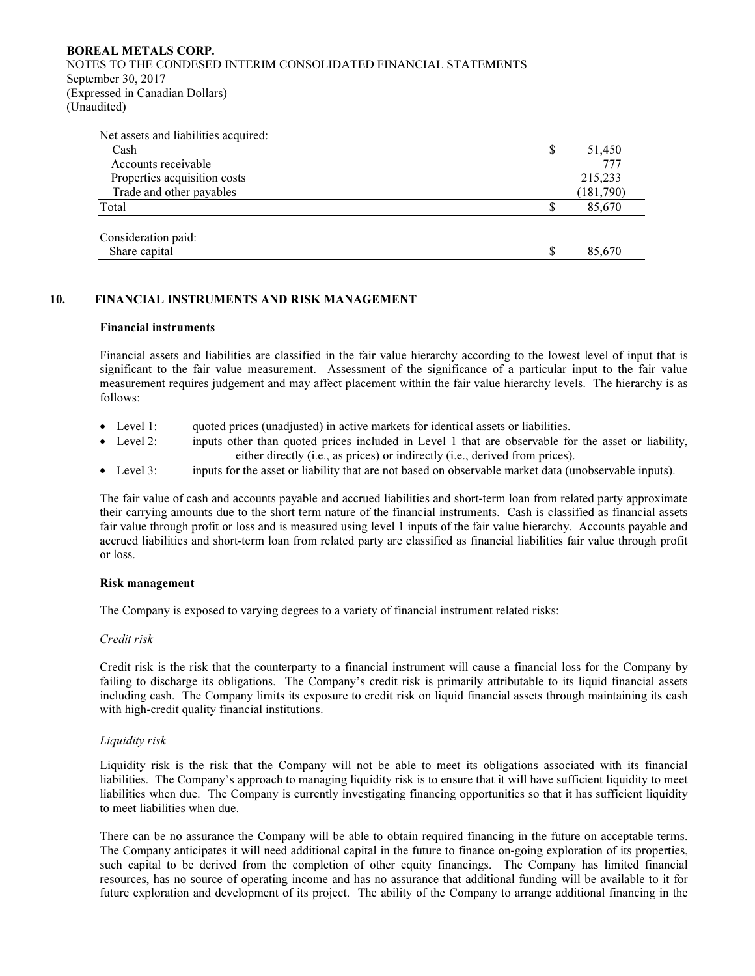### BOREAL METALS CORP.

NOTES TO THE CONDESED INTERIM CONSOLIDATED FINANCIAL STATEMENTS September 30, 2017 (Expressed in Canadian Dollars) (Unaudited)

| Net assets and liabilities acquired: |   |           |
|--------------------------------------|---|-----------|
| Cash                                 | S | 51,450    |
| Accounts receivable                  |   | 777       |
| Properties acquisition costs         |   | 215,233   |
| Trade and other payables             |   | (181,790) |
| Total                                | S | 85,670    |
| Consideration paid:                  |   |           |
| Share capital                        | S | 85,670    |

## 10. FINANCIAL INSTRUMENTS AND RISK MANAGEMENT

### Financial instruments

Financial assets and liabilities are classified in the fair value hierarchy according to the lowest level of input that is significant to the fair value measurement. Assessment of the significance of a particular input to the fair value measurement requires judgement and may affect placement within the fair value hierarchy levels. The hierarchy is as follows:

- Level 1: quoted prices (unadjusted) in active markets for identical assets or liabilities.
- Level 2: inputs other than quoted prices included in Level 1 that are observable for the asset or liability, either directly (i.e., as prices) or indirectly (i.e., derived from prices).
- Level 3: inputs for the asset or liability that are not based on observable market data (unobservable inputs).

The fair value of cash and accounts payable and accrued liabilities and short-term loan from related party approximate their carrying amounts due to the short term nature of the financial instruments. Cash is classified as financial assets fair value through profit or loss and is measured using level 1 inputs of the fair value hierarchy. Accounts payable and accrued liabilities and short-term loan from related party are classified as financial liabilities fair value through profit or loss.

### Risk management

The Company is exposed to varying degrees to a variety of financial instrument related risks:

### Credit risk

Credit risk is the risk that the counterparty to a financial instrument will cause a financial loss for the Company by failing to discharge its obligations. The Company's credit risk is primarily attributable to its liquid financial assets including cash. The Company limits its exposure to credit risk on liquid financial assets through maintaining its cash with high-credit quality financial institutions.

# Liquidity risk

Liquidity risk is the risk that the Company will not be able to meet its obligations associated with its financial liabilities. The Company's approach to managing liquidity risk is to ensure that it will have sufficient liquidity to meet liabilities when due. The Company is currently investigating financing opportunities so that it has sufficient liquidity to meet liabilities when due.

There can be no assurance the Company will be able to obtain required financing in the future on acceptable terms. The Company anticipates it will need additional capital in the future to finance on-going exploration of its properties, such capital to be derived from the completion of other equity financings. The Company has limited financial resources, has no source of operating income and has no assurance that additional funding will be available to it for future exploration and development of its project. The ability of the Company to arrange additional financing in the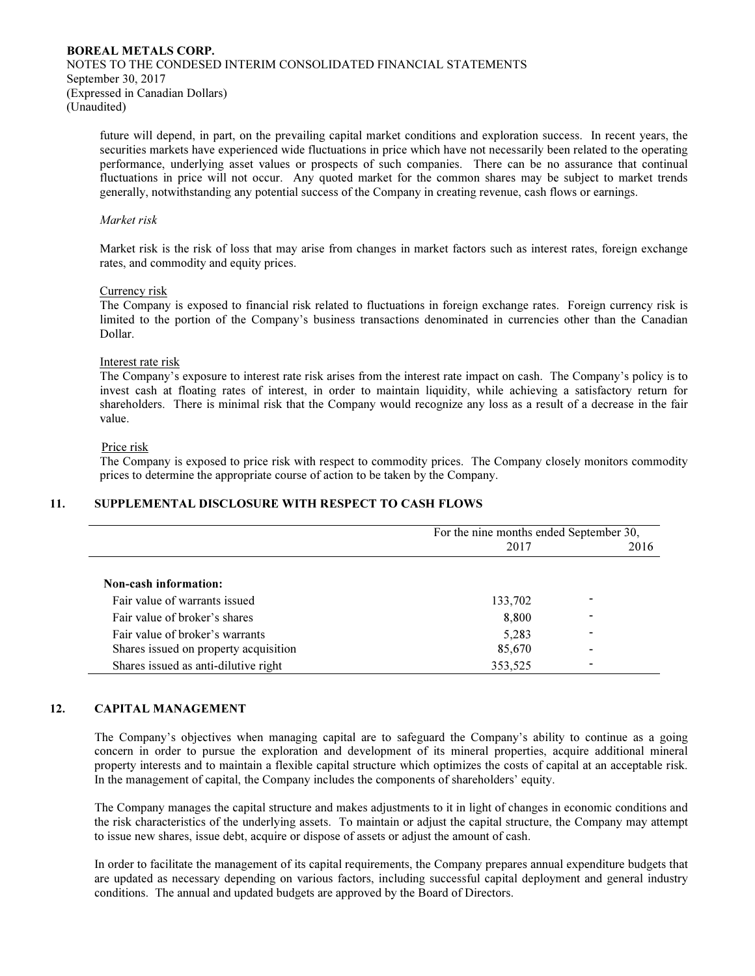# BOREAL METALS CORP. NOTES TO THE CONDESED INTERIM CONSOLIDATED FINANCIAL STATEMENTS September 30, 2017 (Expressed in Canadian Dollars) (Unaudited)

future will depend, in part, on the prevailing capital market conditions and exploration success. In recent years, the securities markets have experienced wide fluctuations in price which have not necessarily been related to the operating performance, underlying asset values or prospects of such companies. There can be no assurance that continual fluctuations in price will not occur. Any quoted market for the common shares may be subject to market trends generally, notwithstanding any potential success of the Company in creating revenue, cash flows or earnings.

### Market risk

Market risk is the risk of loss that may arise from changes in market factors such as interest rates, foreign exchange rates, and commodity and equity prices.

### Currency risk

The Company is exposed to financial risk related to fluctuations in foreign exchange rates. Foreign currency risk is limited to the portion of the Company's business transactions denominated in currencies other than the Canadian Dollar.

## Interest rate risk

The Company's exposure to interest rate risk arises from the interest rate impact on cash. The Company's policy is to invest cash at floating rates of interest, in order to maintain liquidity, while achieving a satisfactory return for shareholders. There is minimal risk that the Company would recognize any loss as a result of a decrease in the fair value.

## Price risk

The Company is exposed to price risk with respect to commodity prices. The Company closely monitors commodity prices to determine the appropriate course of action to be taken by the Company.

# 11. SUPPLEMENTAL DISCLOSURE WITH RESPECT TO CASH FLOWS

|                                       | For the nine months ended September 30, |      |
|---------------------------------------|-----------------------------------------|------|
|                                       | 2017                                    | 2016 |
|                                       |                                         |      |
| Non-cash information:                 |                                         |      |
| Fair value of warrants issued         | 133,702                                 |      |
| Fair value of broker's shares         | 8,800                                   |      |
| Fair value of broker's warrants       | 5,283                                   |      |
| Shares issued on property acquisition | 85,670                                  |      |
| Shares issued as anti-dilutive right  | 353,525                                 |      |

# 12. CAPITAL MANAGEMENT

The Company's objectives when managing capital are to safeguard the Company's ability to continue as a going concern in order to pursue the exploration and development of its mineral properties, acquire additional mineral property interests and to maintain a flexible capital structure which optimizes the costs of capital at an acceptable risk. In the management of capital, the Company includes the components of shareholders' equity.

The Company manages the capital structure and makes adjustments to it in light of changes in economic conditions and the risk characteristics of the underlying assets. To maintain or adjust the capital structure, the Company may attempt to issue new shares, issue debt, acquire or dispose of assets or adjust the amount of cash.

In order to facilitate the management of its capital requirements, the Company prepares annual expenditure budgets that are updated as necessary depending on various factors, including successful capital deployment and general industry conditions. The annual and updated budgets are approved by the Board of Directors.